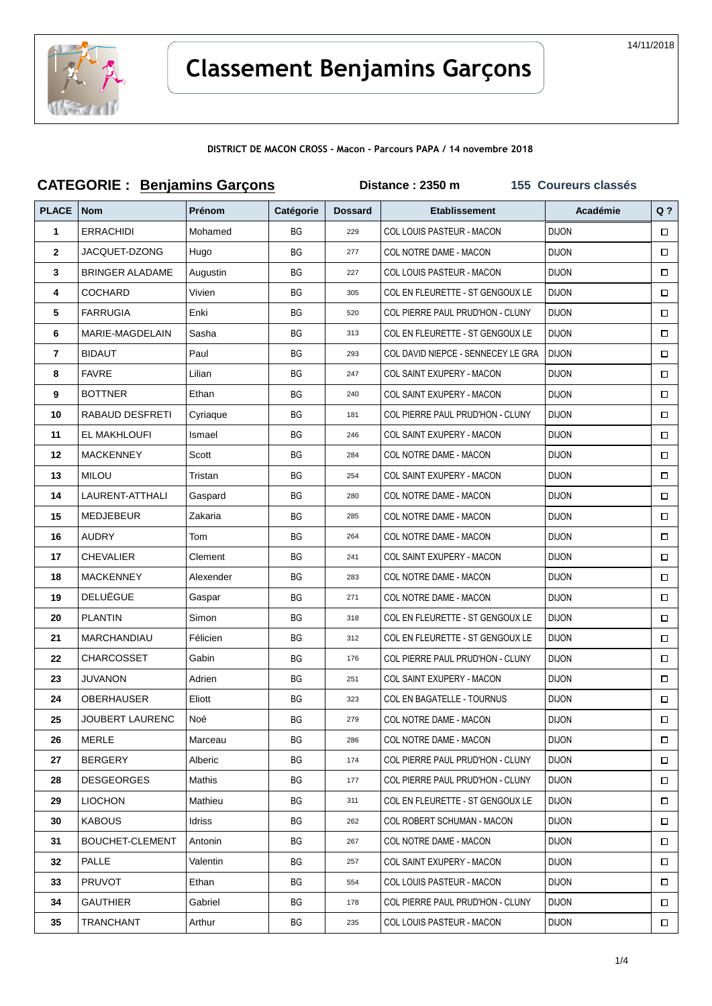

# **Classement Benjamins Garçons**

**DISTRICT DE MACON CROSS - Macon - Parcours PAPA / 14 novembre 2018**

| <b>CATEGORIE: Benjamins Garçons</b> |                        |           |           | 155 Coureurs classés<br>Distance: 2350 m |                                    |              |        |
|-------------------------------------|------------------------|-----------|-----------|------------------------------------------|------------------------------------|--------------|--------|
| <b>PLACE</b>                        | Nom                    | Prénom    | Catégorie | <b>Dossard</b>                           | <b>Etablissement</b>               | Académie     | $Q$ ?  |
| 1                                   | <b>ERRACHIDI</b>       | Mohamed   | BG        | 229                                      | COL LOUIS PASTEUR - MACON          | <b>DIJON</b> | $\Box$ |
| $\mathbf{2}$                        | JACQUET-DZONG          | Hugo      | BG        | 277                                      | COL NOTRE DAME - MACON             | <b>DIJON</b> | □      |
| 3                                   | <b>BRINGER ALADAME</b> | Augustin  | ВG        | 227                                      | COL LOUIS PASTEUR - MACON          | <b>DIJON</b> | 0      |
| 4                                   | <b>COCHARD</b>         | Vivien    | ВG        | 305                                      | COL EN FLEURETTE - ST GENGOUX LE   | <b>DIJON</b> | $\Box$ |
| 5                                   | <b>FARRUGIA</b>        | Enki      | BG        | 520                                      | COL PIERRE PAUL PRUD'HON - CLUNY   | <b>DIJON</b> | □      |
| 6                                   | MARIE-MAGDELAIN        | Sasha     | ВG        | 313                                      | COL EN FLEURETTE - ST GENGOUX LE   | <b>DIJON</b> | $\Box$ |
| 7                                   | <b>BIDAUT</b>          | Paul      | BG        | 293                                      | COL DAVID NIEPCE - SENNECEY LE GRA | <b>DIJON</b> | □      |
| 8                                   | <b>FAVRE</b>           | Lilian    | ВG        | 247                                      | COL SAINT EXUPERY - MACON          | <b>DIJON</b> | $\Box$ |
| 9                                   | <b>BOTTNER</b>         | Ethan     | ВG        | 240                                      | COL SAINT EXUPERY - MACON          | <b>DIJON</b> | $\Box$ |
| 10                                  | RABAUD DESFRETI        | Cyriaque  | <b>BG</b> | 181                                      | COL PIERRE PAUL PRUD'HON - CLUNY   | <b>DIJON</b> | □      |
| 11                                  | EL MAKHLOUFI           | Ismael    | BG        | 246                                      | COL SAINT EXUPERY - MACON          | <b>DIJON</b> | □      |
| 12                                  | <b>MACKENNEY</b>       | Scott     | ВG        | 284                                      | COL NOTRE DAME - MACON             | <b>DIJON</b> | $\Box$ |
| 13                                  | <b>MILOU</b>           | Tristan   | ВG        | 254                                      | COL SAINT EXUPERY - MACON          | <b>DIJON</b> |        |
| 14                                  | LAURENT-ATTHALI        | Gaspard   | ВG        | 280                                      | COL NOTRE DAME - MACON             | <b>DIJON</b> | □      |
| 15                                  | MEDJEBEUR              | Zakaria   | BG        | 285                                      | COL NOTRE DAME - MACON             | <b>DIJON</b> | $\Box$ |
| 16                                  | <b>AUDRY</b>           | Tom       | BG        | 264                                      | COL NOTRE DAME - MACON             | <b>DIJON</b> | $\Box$ |
| 17                                  | <b>CHEVALIER</b>       | Clement   | BG        | 241                                      | COL SAINT EXUPERY - MACON          | <b>DIJON</b> | □      |
| 18                                  | <b>MACKENNEY</b>       | Alexender | ВG        | 283                                      | COL NOTRE DAME - MACON             | <b>DIJON</b> | $\Box$ |
| 19                                  | <b>DELUËGUE</b>        | Gaspar    | ВG        | 271                                      | COL NOTRE DAME - MACON             | <b>DIJON</b> | □      |
| 20                                  | <b>PLANTIN</b>         | Simon     | ВG        | 318                                      | COL EN FLEURETTE - ST GENGOUX LE   | <b>DIJON</b> | $\Box$ |
| 21                                  | MARCHANDIAU            | Félicien  | BG        | 312                                      | COL EN FLEURETTE - ST GENGOUX LE   | <b>DIJON</b> | $\Box$ |
| 22                                  | CHARCOSSET             | Gabin     | BG        | 176                                      | COL PIERRE PAUL PRUD'HON - CLUNY   | <b>DIJON</b> | $\Box$ |
| 23                                  | <b>JUVANON</b>         | Adrien    | BG        | 251                                      | <b>COL SAINT EXUPERY - MACON</b>   | <b>DIJON</b> | □      |
| 24                                  | OBERHAUSER             | Eliott    | ВG        | 323                                      | <b>COL EN BAGATELLE - TOURNUS</b>  | <b>DIJON</b> | $\Box$ |
| 25                                  | JOUBERT LAURENC        | Noé       | ВG        | 279                                      | COL NOTRE DAME - MACON             | <b>DIJON</b> | □      |
| 26                                  | <b>MERLE</b>           | Marceau   | ВG        | 286                                      | COL NOTRE DAME - MACON             | <b>DIJON</b> | □      |
| 27                                  | <b>BERGERY</b>         | Alberic   | ВG        | 174                                      | COL PIERRE PAUL PRUD'HON - CLUNY   | <b>DIJON</b> | $\Box$ |
| 28                                  | <b>DESGEORGES</b>      | Mathis    | ВG        | 177                                      | COL PIERRE PAUL PRUD'HON - CLUNY   | <b>DIJON</b> | □      |
| 29                                  | <b>LIOCHON</b>         | Mathieu   | ВG        | 311                                      | COL EN FLEURETTE - ST GENGOUX LE   | <b>DIJON</b> | □      |
| 30                                  | <b>KABOUS</b>          | Idriss    | ВG        | 262                                      | COL ROBERT SCHUMAN - MACON         | <b>DIJON</b> | □      |
| 31                                  | <b>BOUCHET-CLEMENT</b> | Antonin   | ВG        | 267                                      | COL NOTRE DAME - MACON             | <b>DIJON</b> | □      |
| 32                                  | PALLE                  | Valentin  | BG        | 257                                      | COL SAINT EXUPERY - MACON          | <b>DIJON</b> | $\Box$ |
| 33                                  | <b>PRUVOT</b>          | Ethan     | ВG        | 554                                      | COL LOUIS PASTEUR - MACON          | <b>DIJON</b> | $\Box$ |
| 34                                  | <b>GAUTHIER</b>        | Gabriel   | ВG        | 178                                      | COL PIERRE PAUL PRUD'HON - CLUNY   | <b>DIJON</b> | $\Box$ |
| 35                                  | <b>TRANCHANT</b>       | Arthur    | BG        | 235                                      | COL LOUIS PASTEUR - MACON          | <b>DIJON</b> | $\Box$ |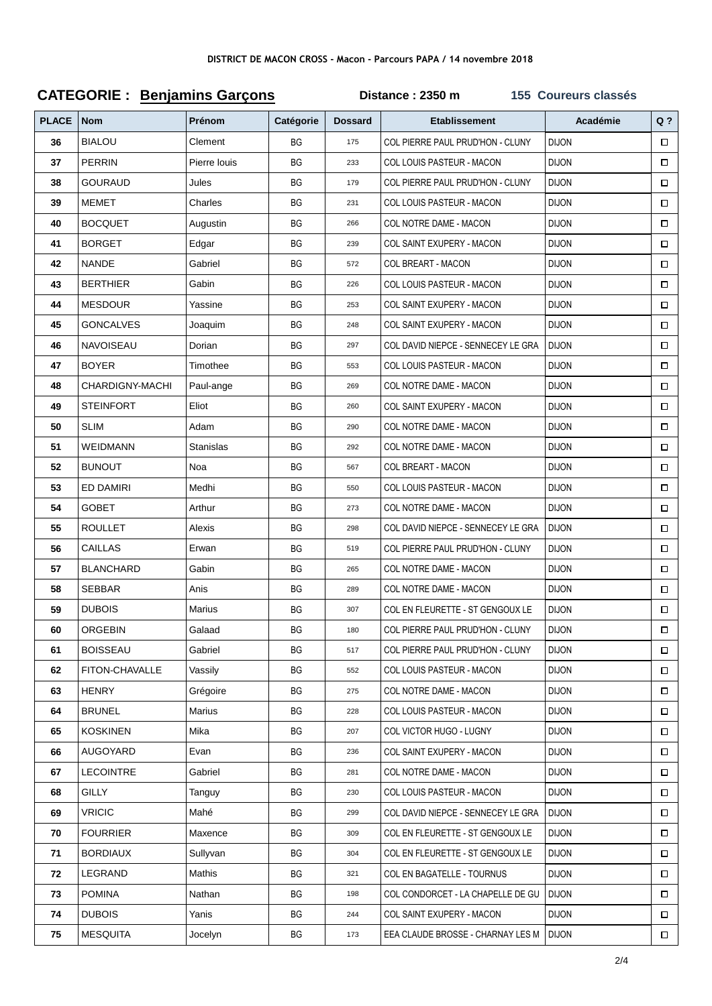## **CATEGORIE : Benjamins Garçons Distance : 2350 m 155 Coureurs classés**

| <b>PLACE</b> | <b>Nom</b>       | Prénom       | Catégorie | <b>Dossard</b> | <b>Etablissement</b>                      | Académie     | $Q$ ?  |
|--------------|------------------|--------------|-----------|----------------|-------------------------------------------|--------------|--------|
| 36           | <b>BIALOU</b>    | Clement      | <b>BG</b> | 175            | COL PIERRE PAUL PRUD'HON - CLUNY          | <b>DIJON</b> | $\Box$ |
| 37           | <b>PERRIN</b>    | Pierre louis | BG        | 233            | COL LOUIS PASTEUR - MACON                 | <b>DIJON</b> | $\Box$ |
| 38           | GOURAUD          | Jules        | BG        | 179            | COL PIERRE PAUL PRUD'HON - CLUNY          | <b>DIJON</b> | $\Box$ |
| 39           | <b>MEMET</b>     | Charles      | BG        | 231            | COL LOUIS PASTEUR - MACON                 | <b>DIJON</b> | $\Box$ |
| 40           | <b>BOCQUET</b>   | Augustin     | ВG        | 266            | COL NOTRE DAME - MACON                    | <b>DIJON</b> | $\Box$ |
| 41           | <b>BORGET</b>    | Edgar        | <b>BG</b> | 239            | <b>COL SAINT EXUPERY - MACON</b>          | <b>DIJON</b> | $\Box$ |
| 42           | <b>NANDE</b>     | Gabriel      | BG        | 572            | <b>COL BREART - MACON</b>                 | <b>DIJON</b> | $\Box$ |
| 43           | <b>BERTHIER</b>  | Gabin        | ВG        | 226            | COL LOUIS PASTEUR - MACON                 | <b>DIJON</b> | $\Box$ |
| 44           | <b>MESDOUR</b>   | Yassine      | ВG        | 253            | COL SAINT EXUPERY - MACON                 | <b>DIJON</b> | $\Box$ |
| 45           | <b>GONCALVES</b> | Joaquim      | ВG        | 248            | COL SAINT EXUPERY - MACON                 | <b>DIJON</b> | $\Box$ |
| 46           | <b>NAVOISEAU</b> | Dorian       | ВG        | 297            | COL DAVID NIEPCE - SENNECEY LE GRA        | <b>DIJON</b> | $\Box$ |
| 47           | <b>BOYER</b>     | Timothee     | BG        | 553            | <b>COL LOUIS PASTEUR - MACON</b>          | <b>DIJON</b> | $\Box$ |
| 48           | CHARDIGNY-MACHI  | Paul-ange    | BG        | 269            | COL NOTRE DAME - MACON                    | <b>DIJON</b> | $\Box$ |
| 49           | <b>STEINFORT</b> | Eliot        | ВG        | 260            | <b>COL SAINT EXUPERY - MACON</b>          | <b>DIJON</b> | $\Box$ |
| 50           | SLIM             | Adam         | ВG        | 290            | COL NOTRE DAME - MACON                    | <b>DIJON</b> | П      |
| 51           | <b>WEIDMANN</b>  | Stanislas    | BG        | 292            | COL NOTRE DAME - MACON                    | <b>DIJON</b> | $\Box$ |
| 52           | <b>BUNOUT</b>    | Noa          | BG        | 567            | COL BREART - MACON                        | <b>DIJON</b> | $\Box$ |
| 53           | ED DAMIRI        | Medhi        | <b>BG</b> | 550            | COL LOUIS PASTEUR - MACON                 | <b>DIJON</b> | $\Box$ |
| 54           | <b>GOBET</b>     | Arthur       | BG        | 273            | COL NOTRE DAME - MACON                    | <b>DIJON</b> | $\Box$ |
| 55           | <b>ROULLET</b>   | Alexis       | ВG        | 298            | COL DAVID NIEPCE - SENNECEY LE GRA        | <b>DIJON</b> | $\Box$ |
| 56           | CAILLAS          | Erwan        | ВG        | 519            | COL PIERRE PAUL PRUD'HON - CLUNY          | <b>DIJON</b> | $\Box$ |
| 57           | <b>BLANCHARD</b> | Gabin        | BG        | 265            | COL NOTRE DAME - MACON                    | <b>DIJON</b> | $\Box$ |
| 58           | <b>SEBBAR</b>    | Anis         | ВG        | 289            | COL NOTRE DAME - MACON                    | <b>DIJON</b> | $\Box$ |
| 59           | <b>DUBOIS</b>    | Marius       | BG        | 307            | COL EN FLEURETTE - ST GENGOUX LE          | <b>DIJON</b> | $\Box$ |
| 60           | <b>ORGEBIN</b>   | Galaad       | BG        | 180            | COL PIERRE PAUL PRUD'HON - CLUNY          | <b>DIJON</b> | $\Box$ |
| 61           | <b>BOISSEAU</b>  | Gabriel      | ВG        | 517            | COL PIERRE PAUL PRUD'HON - CLUNY          | <b>DIJON</b> | 0      |
| 62           | FITON-CHAVALLE   | Vassily      | ВG        | 552            | COL LOUIS PASTEUR - MACON                 | <b>DIJON</b> | □      |
| 63           | <b>HENRY</b>     | Grégoire     | ВG        | 275            | COL NOTRE DAME - MACON                    | <b>DIJON</b> | □      |
| 64           | <b>BRUNEL</b>    | Marius       | ВG        | 228            | COL LOUIS PASTEUR - MACON                 | <b>DIJON</b> | □      |
| 65           | <b>KOSKINEN</b>  | Mika         | ВG        | 207            | COL VICTOR HUGO - LUGNY                   | <b>DIJON</b> | $\Box$ |
| 66           | <b>AUGOYARD</b>  | Evan         | BG        | 236            | COL SAINT EXUPERY - MACON                 | <b>DIJON</b> | $\Box$ |
| 67           | <b>LECOINTRE</b> | Gabriel      | ВG        | 281            | COL NOTRE DAME - MACON                    | <b>DIJON</b> | $\Box$ |
| 68           | GILLY            | Tanguy       | ВG        | 230            | COL LOUIS PASTEUR - MACON                 | <b>DIJON</b> | $\Box$ |
| 69           | <b>VRICIC</b>    | Mahé         | ВG        | 299            | COL DAVID NIEPCE - SENNECEY LE GRA        | <b>DIJON</b> | 0      |
| 70           | <b>FOURRIER</b>  | Maxence      | ВG        | 309            | COL EN FLEURETTE - ST GENGOUX LE          | <b>DIJON</b> | $\Box$ |
| 71           | <b>BORDIAUX</b>  | Sullyvan     | ВG        | 304            | COL EN FLEURETTE - ST GENGOUX LE          | <b>DIJON</b> | $\Box$ |
| 72           | LEGRAND          | Mathis       | ВG        | 321            | COL EN BAGATELLE - TOURNUS                | <b>DIJON</b> | $\Box$ |
| 73           | <b>POMINA</b>    | Nathan       | ВG        | 198            | COL CONDORCET - LA CHAPELLE DE GU         | <b>DIJON</b> | $\Box$ |
| 74           | <b>DUBOIS</b>    | Yanis        | BG        | 244            | COL SAINT EXUPERY - MACON                 | <b>DIJON</b> | $\Box$ |
| 75           | <b>MESQUITA</b>  | Jocelyn      | BG        | 173            | EEA CLAUDE BROSSE - CHARNAY LES M   DIJON |              | $\Box$ |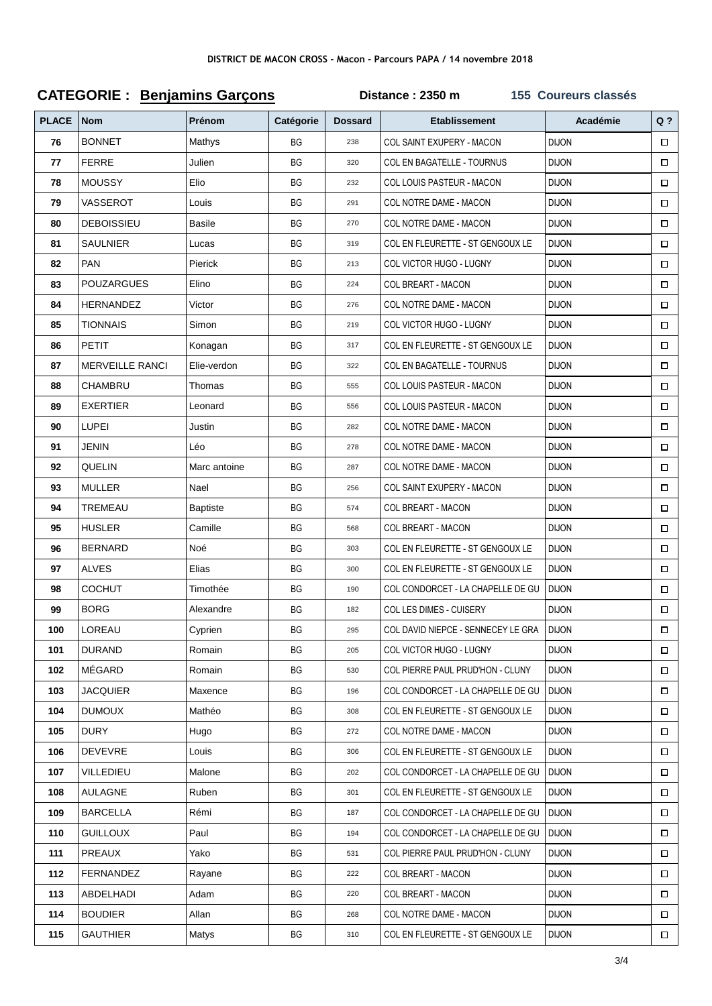## **CATEGORIE : Benjamins Garçons Distance : 2350 m 155 Coureurs classés**

| <b>PLACE</b> | <b>Nom</b>             | Prénom          | Catégorie | <b>Dossard</b> | <b>Etablissement</b>               | Académie     | $Q$ ?  |
|--------------|------------------------|-----------------|-----------|----------------|------------------------------------|--------------|--------|
| 76           | <b>BONNET</b>          | Mathys          | <b>BG</b> | 238            | COL SAINT EXUPERY - MACON          | <b>DIJON</b> | $\Box$ |
| 77           | <b>FERRE</b>           | Julien          | BG        | 320            | COL EN BAGATELLE - TOURNUS         | <b>DIJON</b> | $\Box$ |
| 78           | <b>MOUSSY</b>          | Elio            | ВG        | 232            | COL LOUIS PASTEUR - MACON          | <b>DIJON</b> | $\Box$ |
| 79           | VASSEROT               | Louis           | ВG        | 291            | COL NOTRE DAME - MACON             | <b>DIJON</b> | $\Box$ |
| 80           | <b>DEBOISSIEU</b>      | <b>Basile</b>   | BG        | 270            | COL NOTRE DAME - MACON             | <b>DIJON</b> | $\Box$ |
| 81           | <b>SAULNIER</b>        | Lucas           | BG        | 319            | COL EN FLEURETTE - ST GENGOUX LE   | <b>DIJON</b> | $\Box$ |
| 82           | <b>PAN</b>             | Pierick         | ВG        | 213            | COL VICTOR HUGO - LUGNY            | <b>DIJON</b> | $\Box$ |
| 83           | <b>POUZARGUES</b>      | Elino           | BG        | 224            | COL BREART - MACON                 | <b>DIJON</b> | $\Box$ |
| 84           | HERNANDEZ              | Victor          | ВG        | 276            | COL NOTRE DAME - MACON             | <b>DIJON</b> | $\Box$ |
| 85           | <b>TIONNAIS</b>        | Simon           | ВG        | 219            | COL VICTOR HUGO - LUGNY            | <b>DIJON</b> | $\Box$ |
| 86           | <b>PETIT</b>           | Konagan         | BG        | 317            | COL EN FLEURETTE - ST GENGOUX LE   | <b>DIJON</b> | $\Box$ |
| 87           | <b>MERVEILLE RANCI</b> | Elie-verdon     | BG        | 322            | COL EN BAGATELLE - TOURNUS         | <b>DIJON</b> | $\Box$ |
| 88           | CHAMBRU                | Thomas          | BG        | 555            | COL LOUIS PASTEUR - MACON          | <b>DIJON</b> | $\Box$ |
| 89           | <b>EXERTIER</b>        | Leonard         | BG        | 556            | COL LOUIS PASTEUR - MACON          | <b>DIJON</b> | $\Box$ |
| 90           | <b>LUPEI</b>           | Justin          | ВG        | 282            | COL NOTRE DAME - MACON             | <b>DIJON</b> | $\Box$ |
| 91           | JENIN                  | Léo             | ВG        | 278            | COL NOTRE DAME - MACON             | <b>DIJON</b> | $\Box$ |
| 92           | QUELIN                 | Marc antoine    | BG        | 287            | COL NOTRE DAME - MACON             | <b>DIJON</b> | $\Box$ |
| 93           | <b>MULLER</b>          | Nael            | BG        | 256            | COL SAINT EXUPERY - MACON          | <b>DIJON</b> | $\Box$ |
| 94           | TREMEAU                | <b>Baptiste</b> | BG        | 574            | <b>COL BREART - MACON</b>          | <b>DIJON</b> | $\Box$ |
| 95           | <b>HUSLER</b>          | Camille         | BG        | 568            | <b>COL BREART - MACON</b>          | <b>DIJON</b> | $\Box$ |
| 96           | <b>BERNARD</b>         | Noé             | ВG        | 303            | COL EN FLEURETTE - ST GENGOUX LE   | <b>DIJON</b> | $\Box$ |
| 97           | <b>ALVES</b>           | Elias           | BG        | 300            | COL EN FLEURETTE - ST GENGOUX LE   | <b>DIJON</b> | $\Box$ |
| 98           | <b>COCHUT</b>          | Timothée        | BG        | 190            | COL CONDORCET - LA CHAPELLE DE GU  | <b>DIJON</b> | $\Box$ |
| 99           | <b>BORG</b>            | Alexandre       | BG        | 182            | COL LES DIMES - CUISERY            | <b>DIJON</b> | $\Box$ |
| 100          | LOREAU                 | Cyprien         | BG        | 295            | COL DAVID NIEPCE - SENNECEY LE GRA | <b>DIJON</b> | $\Box$ |
| 101          | <b>DURAND</b>          | Romain          | BG        | 205            | COL VICTOR HUGO - LUGNY            | <b>DIJON</b> | □      |
| 102          | MÉGARD                 | Romain          | ВG        | 530            | COL PIERRE PAUL PRUD'HON - CLUNY   | <b>DIJON</b> | □      |
| 103          | <b>JACQUIER</b>        | Maxence         | ВG        | 196            | COL CONDORCET - LA CHAPELLE DE GU  | <b>DIJON</b> | □      |
| 104          | <b>DUMOUX</b>          | Mathéo          | ВG        | 308            | COL EN FLEURETTE - ST GENGOUX LE   | <b>DIJON</b> | $\Box$ |
| 105          | <b>DURY</b>            | Hugo            | ВG        | 272            | COL NOTRE DAME - MACON             | <b>DIJON</b> | □      |
| 106          | <b>DEVEVRE</b>         | Louis           | ВG        | 306            | COL EN FLEURETTE - ST GENGOUX LE   | <b>DIJON</b> | □      |
| 107          | VILLEDIEU              | Malone          | ВG        | 202            | COL CONDORCET - LA CHAPELLE DE GU  | <b>DIJON</b> | $\Box$ |
| 108          | AULAGNE                | Ruben           | ВG        | 301            | COL EN FLEURETTE - ST GENGOUX LE   | <b>DIJON</b> |        |
| 109          | <b>BARCELLA</b>        | Rémi            | ВG        | 187            | COL CONDORCET - LA CHAPELLE DE GU  | <b>DIJON</b> | $\Box$ |
| 110          | <b>GUILLOUX</b>        | Paul            | ВG        | 194            | COL CONDORCET - LA CHAPELLE DE GU  | <b>DIJON</b> | $\Box$ |
| 111          | PREAUX                 | Yako            | ВG        | 531            | COL PIERRE PAUL PRUD'HON - CLUNY   | <b>DIJON</b> | $\Box$ |
| 112          | FERNANDEZ              | Rayane          | ВG        | 222            | <b>COL BREART - MACON</b>          | <b>DIJON</b> | $\Box$ |
| 113          | ABDELHADI              | Adam            | ВG        | 220            | <b>COL BREART - MACON</b>          | <b>DIJON</b> | $\Box$ |
| 114          | <b>BOUDIER</b>         | Allan           | BG        | 268            | COL NOTRE DAME - MACON             | <b>DIJON</b> | 0      |
| 115          | <b>GAUTHIER</b>        | Matys           | BG        | 310            | COL EN FLEURETTE - ST GENGOUX LE   | <b>DIJON</b> | $\Box$ |